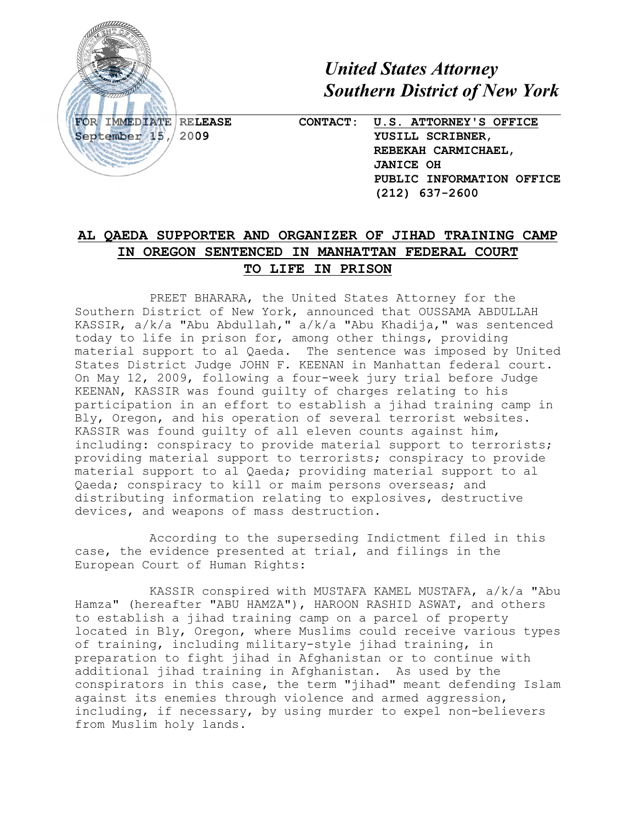

*United States Attorney Southern District of New York*

**FOR IMMEDIATE RELEASE CONTACT: U.S. ATTORNEY'S OFFICE September 15, 2009 YUSILL SCRIBNER**, **REBEKAH CARMICHAEL**, **JANICE OH PUBLIC INFORMATION OFFICE (212) 637-2600**

## **AL QAEDA SUPPORTER AND ORGANIZER OF JIHAD TRAINING CAMP IN OREGON SENTENCED IN MANHATTAN FEDERAL COURT TO LIFE IN PRISON**

PREET BHARARA, the United States Attorney for the Southern District of New York, announced that OUSSAMA ABDULLAH KASSIR, a/k/a "Abu Abdullah," a/k/a "Abu Khadija," was sentenced today to life in prison for, among other things, providing material support to al Qaeda. The sentence was imposed by United States District Judge JOHN F. KEENAN in Manhattan federal court. On May 12, 2009, following a four-week jury trial before Judge KEENAN, KASSIR was found guilty of charges relating to his participation in an effort to establish a jihad training camp in Bly, Oregon, and his operation of several terrorist websites. KASSIR was found guilty of all eleven counts against him, including: conspiracy to provide material support to terrorists; providing material support to terrorists; conspiracy to provide material support to al Qaeda; providing material support to al Qaeda; conspiracy to kill or maim persons overseas; and distributing information relating to explosives, destructive devices, and weapons of mass destruction.

According to the superseding Indictment filed in this case, the evidence presented at trial, and filings in the European Court of Human Rights:

KASSIR conspired with MUSTAFA KAMEL MUSTAFA, a/k/a "Abu Hamza" (hereafter "ABU HAMZA"), HAROON RASHID ASWAT, and others to establish a jihad training camp on a parcel of property located in Bly, Oregon, where Muslims could receive various types of training, including military-style jihad training, in preparation to fight jihad in Afghanistan or to continue with additional jihad training in Afghanistan. As used by the conspirators in this case, the term "jihad" meant defending Islam against its enemies through violence and armed aggression, including, if necessary, by using murder to expel non-believers from Muslim holy lands.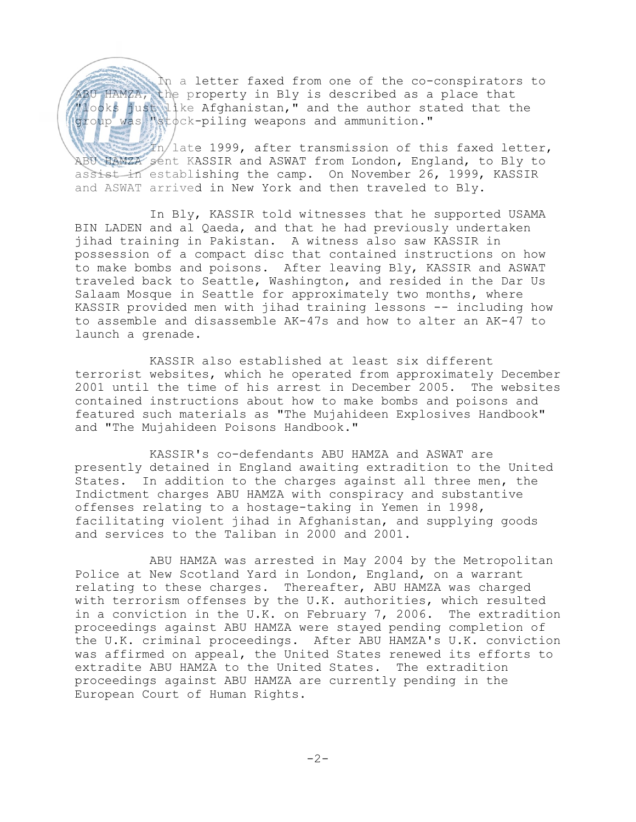In a letter faxed from one of the co-conspirators to ABU HAMZA, the property in Bly is described as a place that Mooks just like Afghanistan," and the author stated that the group was "stock-piling weapons and ammunition."

 $\mathbb{Z}_n$  late 1999, after transmission of this faxed letter, ABU HAMZA sent KASSIR and ASWAT from London, England, to Bly to assist in establishing the camp. On November 26, 1999, KASSIR and ASWAT arrived in New York and then traveled to Bly.

In Bly, KASSIR told witnesses that he supported USAMA BIN LADEN and al Qaeda, and that he had previously undertaken jihad training in Pakistan. A witness also saw KASSIR in possession of a compact disc that contained instructions on how to make bombs and poisons. After leaving Bly, KASSIR and ASWAT traveled back to Seattle, Washington, and resided in the Dar Us Salaam Mosque in Seattle for approximately two months, where KASSIR provided men with jihad training lessons -- including how to assemble and disassemble AK-47s and how to alter an AK-47 to launch a grenade.

KASSIR also established at least six different terrorist websites, which he operated from approximately December 2001 until the time of his arrest in December 2005. The websites contained instructions about how to make bombs and poisons and featured such materials as "The Mujahideen Explosives Handbook" and "The Mujahideen Poisons Handbook."

KASSIR's co-defendants ABU HAMZA and ASWAT are presently detained in England awaiting extradition to the United States. In addition to the charges against all three men, the Indictment charges ABU HAMZA with conspiracy and substantive offenses relating to a hostage-taking in Yemen in 1998, facilitating violent jihad in Afghanistan, and supplying goods and services to the Taliban in 2000 and 2001.

ABU HAMZA was arrested in May 2004 by the Metropolitan Police at New Scotland Yard in London, England, on a warrant relating to these charges. Thereafter, ABU HAMZA was charged with terrorism offenses by the U.K. authorities, which resulted in a conviction in the U.K. on February 7, 2006. The extradition proceedings against ABU HAMZA were stayed pending completion of the U.K. criminal proceedings. After ABU HAMZA's U.K. conviction was affirmed on appeal, the United States renewed its efforts to extradite ABU HAMZA to the United States. The extradition proceedings against ABU HAMZA are currently pending in the European Court of Human Rights.